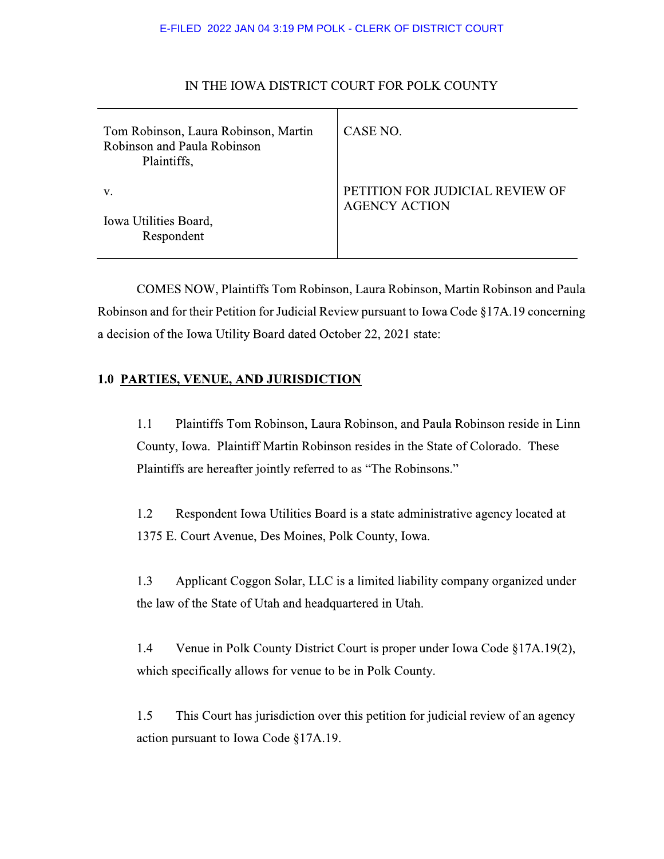#### E-FILED 2022 JAN 04 3:19 PM POLK - CLERK OF DISTRICT COURT

| Tom Robinson, Laura Robinson, Martin<br>Robinson and Paula Robinson<br>Plaintiffs, | CASE NO.                                                |
|------------------------------------------------------------------------------------|---------------------------------------------------------|
| V.                                                                                 | PETITION FOR JUDICIAL REVIEW OF<br><b>AGENCY ACTION</b> |
| Iowa Utilities Board,<br>Respondent                                                |                                                         |

### IN THE IOWA DISTRICT COURT FOR POLK COUNTY

COMES NOW, Plaintiffs Tom Robinson, Laura Robinson, Martin Robinson and Paula Robinson and for their Petition for Judicial Review pursuant to Iowa Code §17A.19 concerning a decision of the Iowa Utility Board dated October 22, 2021 state:

### 1.0 PARTIES, VENUE, AND JURISDICTION

 $1.1$ Plaintiffs Tom Robinson, Laura Robinson, and Paula Robinson reside in Linn County, Iowa. Plaintiff Martin Robinson resides in the State of Colorado. These Plaintiffs are hereafter jointly referred to as "The Robinsons."

1.2 Respondent Iowa Utilities Board is a state administrative agency located at 1375 E. Court Avenue, Des Moines, Polk County, Iowa.

 $1.3$ Applicant Coggon Solar, LLC is a limited liability company organized under the law of the State of Utah and headquartered in Utah.

1.4 Venue in Polk County District Court is proper under Iowa Code §17A.19(2), which specifically allows for venue to be in Polk County.

 $1.5$ This Court has jurisdiction over this petition for judicial review of an agency action pursuant to Iowa Code  $§17A.19.$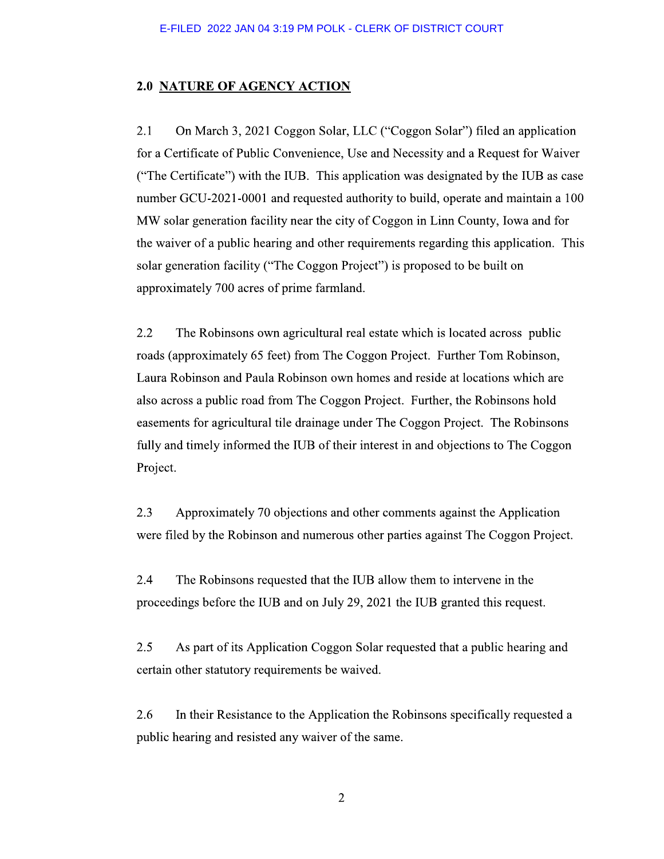## 2.0 <u>NATURE OF AGENCY ACTION</u>

E-FILED 2022 JAN 04 3:19 PM POLK - CLERK OF DISTRICT COURT<br>
2.0 **NATURE OF AGENCY ACTION**<br>
2.1 On March 3, 2021 Coggon Solar, LLC ("Coggon Solar") filed an application<br>
for a Certificate of Public Convenience, Use and Nece

2.2 The Robinsons own agricultural real estate which is located across public roads (approximately 65 feet) from The Coggon Project. Further Tom Robinson, Laura Robinson and Paula Robinson own homes and reside at locations which are also across a public road from The Coggon Project. Further, the Robinsons hold easements for agricultural tile drainage under The Coggon Project. The Robinsons fully and timely informed the IUB of their interest in and objections to The Coggon Project.

2.3 Approximately 70 objections and other comments against the Application were filed by the Robinson and numerous other parties against The Coggon Project.

2.4 The Robinsons requested that the IUB allow them to intervene in the proceedings before the IUB and on July 29, 2021 the IUB granted this request.

2.5 As part of its Application Coggon Solar requested that a public hearing and certain other statutory requirements be waived.

2.6 In their Resistance to the Application the Robinsons specifically requested a public hearing and resisted any waiver of the same.

 $\overline{2}$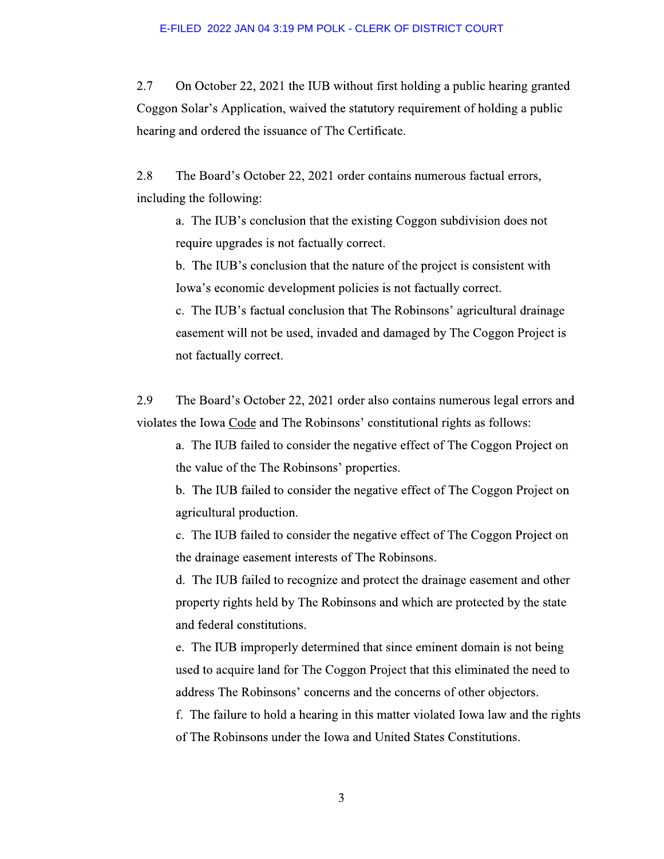$2.7$ On October 22, 2021 the IUB without first holding a public hearing granted Coggon Solar's Application, waived the statutory requirement of holding a public hearing and ordered the issuance of The Certificate.

2.8 The Board's October 22, 2021 order contains numerous factual errors, including the following:

a. The IUB's conclusion that the existing Coggon subdivision does not require upgrades is not factually correct.

b. The IUB's conclusion that the nature of the project is consistent with Iowa's economic development policies is not factually correct.

c. The IUB's factual conclusion that The Robinsons' agricultural drainage easement will not be used, invaded and damaged by The Coggon Project is not factually correct.

2.9 The Board's October 22, 2021 order also contains numerous legal errors and violates the Iowa Code and The Robinsons' constitutional rights as follows:

a. The IUB failed to consider the negative effect of The Coggon Project on the value of the The Robinsons' properties.

b. The IUB failed to consider the negative effect of The Coggon Project on agricultural production.

c. The IUB failed to consider the negative effect of The Coggon Project on the drainage easement interests of The Robinsons.

d. The IUB failed to recognize and protect the drainage easement and other property rights held by The Robinsons and which are protected by the state and federal constitutions.

e. The IUB improperly determined that since eminent domain is not being used to acquire land for The Coggon Project that this eliminated the need to address The Robinsons' concerns and the concerns of other objectors.

f. The failure to hold a hearing in this matter violated Iowa law and the rights of The Robinsons under the Iowa and United States Constitutions.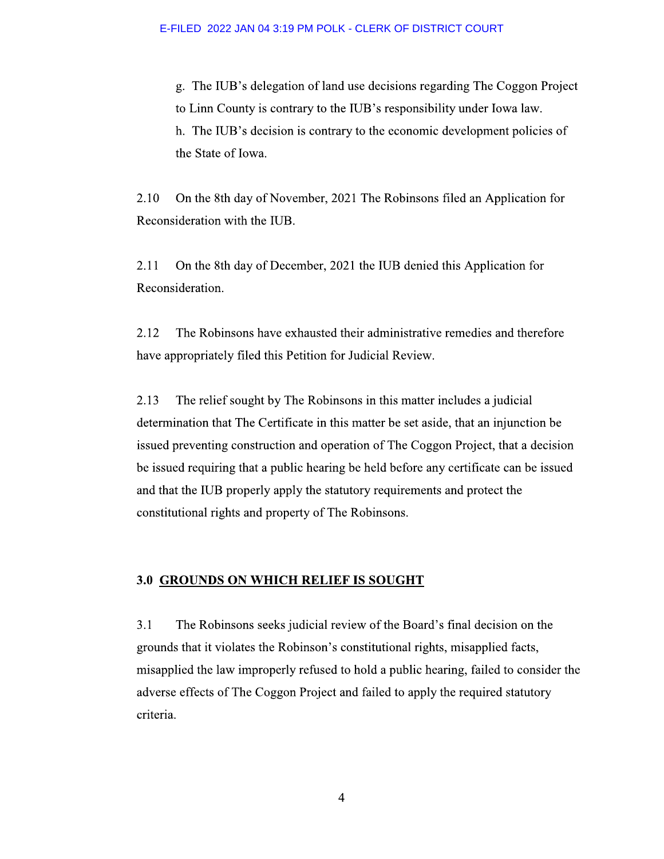g. The IUB's delegation of land use decisions regarding The Coggon Project to Linn County is contrary to the IUB's responsibility under Iowa law. h. The IUB's decision is contrary to the economic development policies of the State of Iowa.

2.10 On the 8th day of November, 2021 The Robinsons filed an Application for Reconsideration with the IUB.

2.11 On the 8th day of December, 2021 the IUB denied this Application for Reconsideration.

2.12 The Robinsons have exhausted their administrative remedies and therefore have appropriately filed this Petition for Judicial Review.

2.13 The relief sought by The Robinsons in this matter includes a judicial determination that The Certificate in this matter be set aside, that an injunction be issued preventing construction and operation of The Coggon Project, that a decision be issued requiring that a public hearing be held before any certificate can be issued and that the IUB properly apply the statutory requirements and protect the constitutional rights and property of The Robinsons.

#### 3.0 GROUNDS ON WHICH RELIEF IS SOUGHT

 $3.1$ The Robinsons seeks judicial review of the Board's final decision on the grounds that it violates the Robinson's constitutional rights, misapplied facts, misapplied the law improperly refused to hold a public hearing, failed to consider the adverse effects of The Coggon Project and failed to apply the required statutory criteria.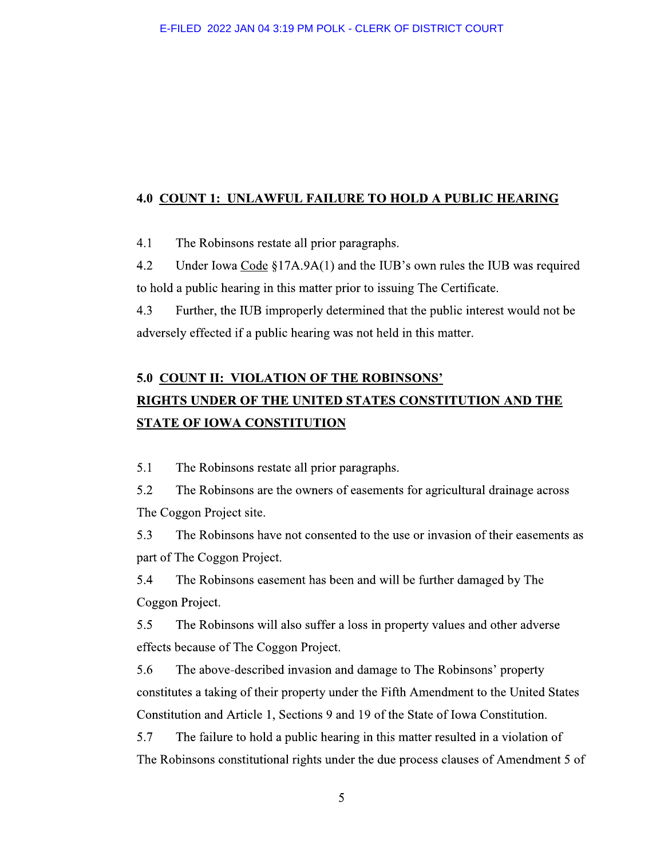#### **4.0 COUNT 1: UNLAWFUL FAILURE TO HOLD A PUBLIC HEARING**

 $4.1$ The Robinsons restate all prior paragraphs.

 $4.2$ Under Iowa Code  $\S17A.9A(1)$  and the IUB's own rules the IUB was required to hold a public hearing in this matter prior to issuing The Certificate.

4.3 Further, the IUB improperly determined that the public interest would not be adversely effected if a public hearing was not held in this matter.

# **5.0 COUNT II: VIOLATION OF THE ROBINSONS'** RIGHTS UNDER OF THE UNITED STATES CONSTITUTION AND THE **STATE OF IOWA CONSTITUTION**

 $5.1$ The Robinsons restate all prior paragraphs.

5.2 The Robinsons are the owners of easements for agricultural drainage across The Coggon Project site.

5.3 The Robinsons have not consented to the use or invasion of their easements as part of The Coggon Project.

5.4 The Robinsons easement has been and will be further damaged by The Coggon Project.

5.5 The Robinsons will also suffer a loss in property values and other adverse effects because of The Coggon Project.

5.6 The above-described invasion and damage to The Robinsons' property constitutes a taking of their property under the Fifth Amendment to the United States Constitution and Article 1, Sections 9 and 19 of the State of Iowa Constitution.

5.7 The failure to hold a public hearing in this matter resulted in a violation of The Robinsons constitutional rights under the due process clauses of Amendment 5 of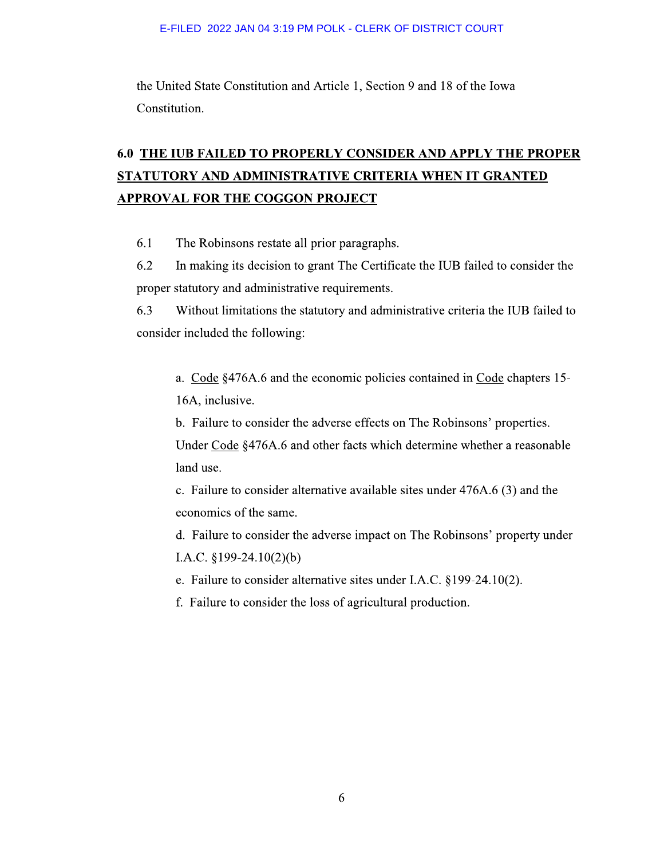the United State Constitution and Article 1, Section 9 and 18 of the Iowa Constitution.

# 6.0 THE IUB FAILED TO PROPERLY CONSIDER AND APPLY THE PROPER STATUTORY AND ADMINISTRATIVE CRITERIA WHEN IT GRANTED **APPROVAL FOR THE COGGON PROJECT**

6.1 The Robinsons restate all prior paragraphs.

6.2 In making its decision to grant The Certificate the IUB failed to consider the proper statutory and administrative requirements.

6.3 Without limitations the statutory and administrative criteria the IUB failed to consider included the following:

a. Code §476A.6 and the economic policies contained in Code chapters 15-16A, inclusive.

b. Failure to consider the adverse effects on The Robinsons' properties.

Under Code §476A.6 and other facts which determine whether a reasonable land use.

c. Failure to consider alternative available sites under 476A.6 (3) and the economics of the same.

d. Failure to consider the adverse impact on The Robinsons' property under I.A.C.  $§199-24.10(2)(b)$ 

e. Failure to consider alternative sites under I.A.C. §199-24.10(2).

f. Failure to consider the loss of agricultural production.